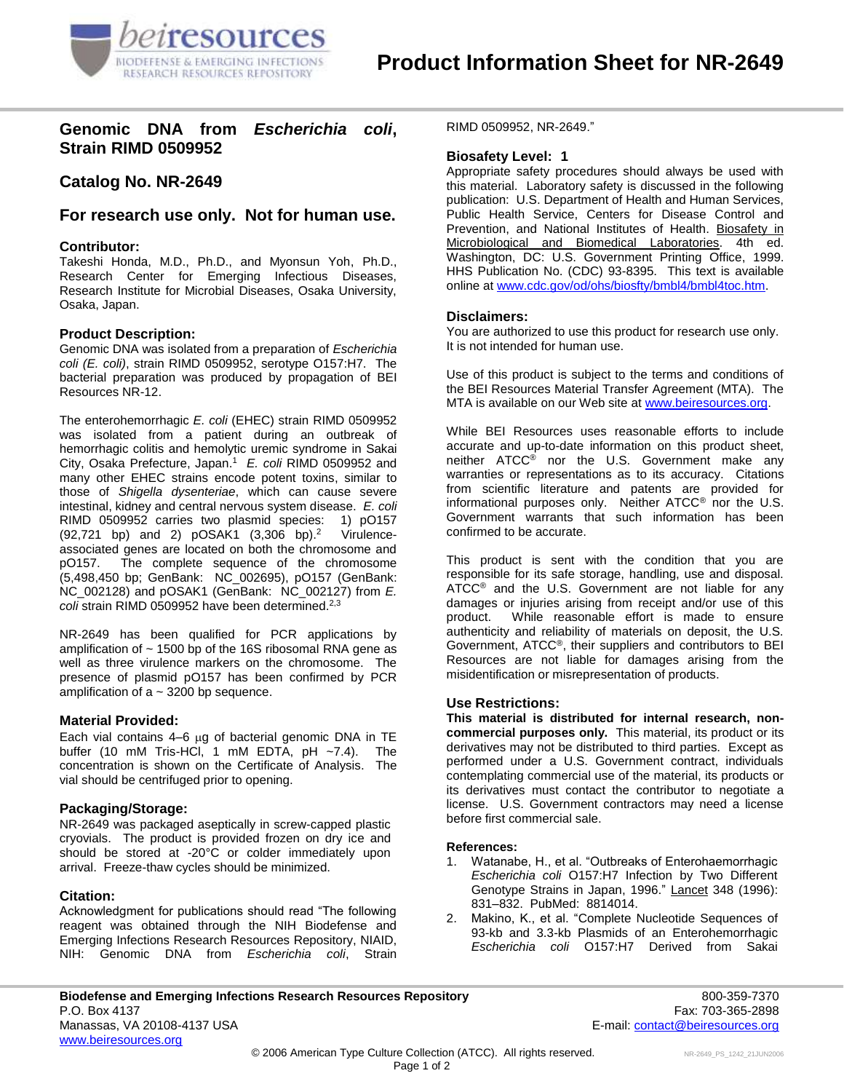

# **Genomic DNA from** *Escherichia coli***, Strain RIMD 0509952**

# **Catalog No. NR-2649**

# **For research use only. Not for human use.**

### **Contributor:**

Takeshi Honda, M.D., Ph.D., and Myonsun Yoh, Ph.D., Research Center for Emerging Infectious Diseases, Research Institute for Microbial Diseases, Osaka University, Osaka, Japan.

### **Product Description:**

Genomic DNA was isolated from a preparation of *Escherichia coli (E. coli)*, strain RIMD 0509952, serotype O157:H7. The bacterial preparation was produced by propagation of BEI Resources NR-12.

The enterohemorrhagic *E. coli* (EHEC) strain RIMD 0509952 was isolated from a patient during an outbreak of hemorrhagic colitis and hemolytic uremic syndrome in Sakai City, Osaka Prefecture, Japan. 1 *E. coli* RIMD 0509952 and many other EHEC strains encode potent toxins, similar to those of *Shigella dysenteriae*, which can cause severe intestinal, kidney and central nervous system disease. *E. coli* RIMD 0509952 carries two plasmid species: 1) pO157  $(92,721$  bp) and 2)  $pOSAK1$   $(3,306$  bp $).<sup>2</sup>$  Virulenceassociated genes are located on both the chromosome and pO157. The complete sequence of the chromosome (5,498,450 bp; GenBank: NC\_002695), pO157 (GenBank: NC\_002128) and pOSAK1 (GenBank: NC\_002127) from *E. coli* strain RIMD 0509952 have been determined. 2,3

NR-2649 has been qualified for PCR applications by amplification of  $\sim$  1500 bp of the 16S ribosomal RNA gene as well as three virulence markers on the chromosome. The presence of plasmid pO157 has been confirmed by PCR amplification of  $a \sim 3200$  bp sequence.

#### **Material Provided:**

Each vial contains  $4-6$  µg of bacterial genomic DNA in TE buffer (10 mM Tris-HCl, 1 mM EDTA,  $pH \sim 7.4$ ). The concentration is shown on the Certificate of Analysis.The vial should be centrifuged prior to opening.

#### **Packaging/Storage:**

NR-2649 was packaged aseptically in screw-capped plastic cryovials. The product is provided frozen on dry ice and should be stored at -20°C or colder immediately upon arrival. Freeze-thaw cycles should be minimized.

## **Citation:**

Acknowledgment for publications should read "The following reagent was obtained through the NIH Biodefense and Emerging Infections Research Resources Repository, NIAID, NIH: Genomic DNA from *Escherichia coli*, Strain RIMD 0509952, NR-2649."

#### **Biosafety Level: 1**

Appropriate safety procedures should always be used with this material. Laboratory safety is discussed in the following publication: U.S. Department of Health and Human Services, Public Health Service, Centers for Disease Control and Prevention, and National Institutes of Health. Biosafety in Microbiological and Biomedical Laboratories. 4th ed. Washington, DC: U.S. Government Printing Office, 1999. HHS Publication No. (CDC) 93-8395. This text is available online a[t www.cdc.gov/od/ohs/biosfty/bmbl4/bmbl4toc.htm.](http://www.cdc.gov/od/ohs/biosfty/bmbl4/bmbl4toc.htm)

#### **Disclaimers:**

You are authorized to use this product for research use only. It is not intended for human use.

Use of this product is subject to the terms and conditions of the BEI Resources Material Transfer Agreement (MTA). The MTA is available on our Web site at [www.beiresources.org.](http://www.beiresources.org/)

While BEI Resources uses reasonable efforts to include accurate and up-to-date information on this product sheet, neither ATCC<sup>®</sup> nor the U.S. Government make any warranties or representations as to its accuracy. Citations from scientific literature and patents are provided for informational purposes only. Neither ATCC® nor the U.S. Government warrants that such information has been confirmed to be accurate.

This product is sent with the condition that you are responsible for its safe storage, handling, use and disposal. ATCC<sup>®</sup> and the U.S. Government are not liable for any damages or injuries arising from receipt and/or use of this product. While reasonable effort is made to ensure authenticity and reliability of materials on deposit, the U.S. Government, ATCC®, their suppliers and contributors to BEI Resources are not liable for damages arising from the misidentification or misrepresentation of products.

#### **Use Restrictions:**

**This material is distributed for internal research, noncommercial purposes only.** This material, its product or its derivatives may not be distributed to third parties. Except as performed under a U.S. Government contract, individuals contemplating commercial use of the material, its products or its derivatives must contact the contributor to negotiate a license. U.S. Government contractors may need a license before first commercial sale.

#### **References:**

- 1. Watanabe, H., et al. "Outbreaks of Enterohaemorrhagic *Escherichia coli* O157:H7 Infection by Two Different Genotype Strains in Japan, 1996." Lancet 348 (1996): 831–832. PubMed: 8814014.
- 2. Makino, K., et al. "Complete Nucleotide Sequences of 93-kb and 3.3-kb Plasmids of an Enterohemorrhagic *Escherichia coli* O157:H7 Derived from Sakai